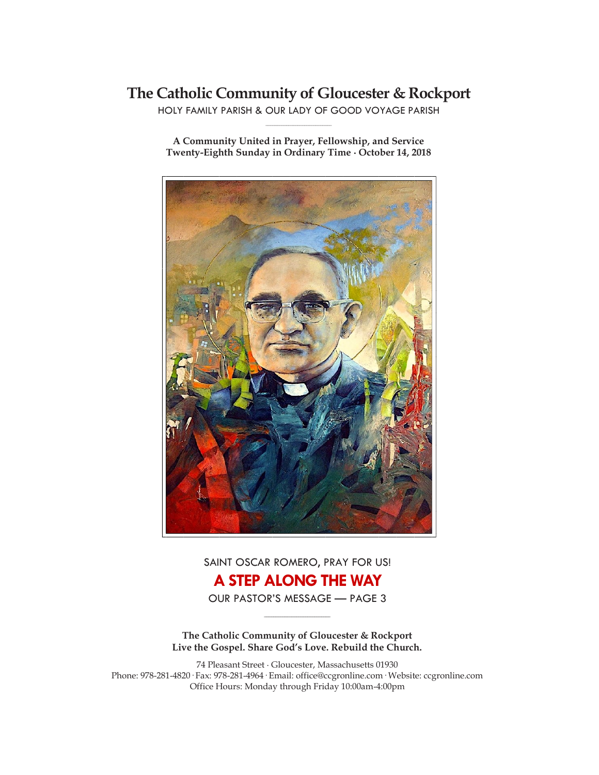# **The Catholic Community of Gloucester & Rockport**

HOLY FAMILY PARISH & OUR LADY OF GOOD VOYAGE PARISH **\_\_\_\_\_\_\_\_\_\_\_\_\_\_\_\_\_\_\_\_\_\_\_\_\_\_\_\_\_**

**A Community United in Prayer, Fellowship, and Service Twenty-Eighth Sunday in Ordinary Time ∙ October 14, 2018**



SAINT OSCAR ROMERO, PRAY FOR US! **A STEP ALONG THE WAY**

OUR PASTOR'S MESSAGE — PAGE 3 **\_\_\_\_\_\_\_\_\_\_\_\_\_\_\_\_\_\_\_\_\_\_\_\_\_\_\_\_\_**

**The Catholic Community of Gloucester & Rockport Live the Gospel. Share God's Love. Rebuild the Church.**

74 Pleasant Street ∙ Gloucester, Massachusetts 01930 Phone: 978-281-4820· Fax: 978-281-4964· Email: office@ccgronline.com· Website: ccgronline.com Office Hours: Monday through Friday 10:00am-4:00pm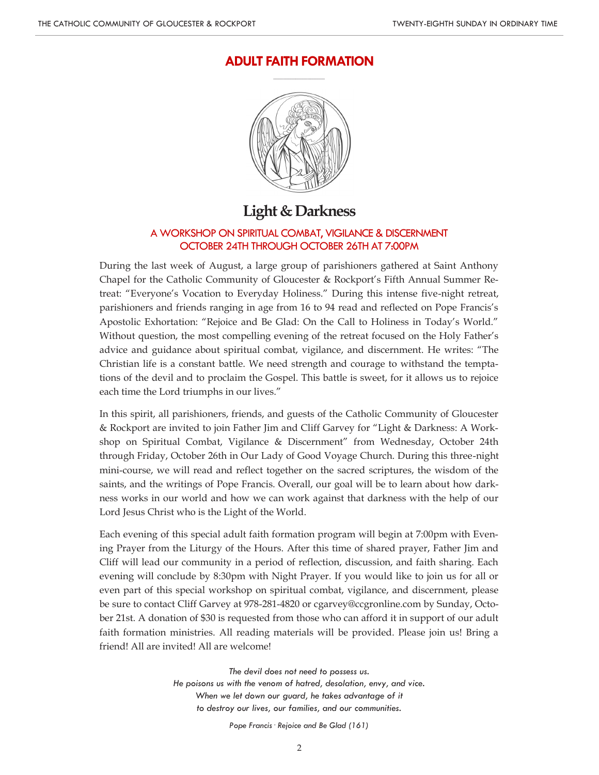# **ADULT FAITH FORMATION \_\_\_\_\_\_\_\_\_\_\_\_\_\_\_\_\_\_\_\_\_**



# **Light & Darkness**

## A WORKSHOP ON SPIRITUAL COMBAT, VIGILANCE & DISCERNMENT OCTOBER 24TH THROUGH OCTOBER 26TH AT 7:00PM

During the last week of August, a large group of parishioners gathered at Saint Anthony Chapel for the Catholic Community of Gloucester & Rockport's Fifth Annual Summer Retreat: "Everyone's Vocation to Everyday Holiness." During this intense five-night retreat, parishioners and friends ranging in age from 16 to 94 read and reflected on Pope Francis's Apostolic Exhortation: "Rejoice and Be Glad: On the Call to Holiness in Today's World." Without question, the most compelling evening of the retreat focused on the Holy Father's advice and guidance about spiritual combat, vigilance, and discernment. He writes: "The Christian life is a constant battle. We need strength and courage to withstand the temptations of the devil and to proclaim the Gospel. This battle is sweet, for it allows us to rejoice each time the Lord triumphs in our lives."

In this spirit, all parishioners, friends, and guests of the Catholic Community of Gloucester & Rockport are invited to join Father Jim and Cliff Garvey for "Light & Darkness: A Workshop on Spiritual Combat, Vigilance & Discernment" from Wednesday, October 24th through Friday, October 26th in Our Lady of Good Voyage Church. During this three-night mini-course, we will read and reflect together on the sacred scriptures, the wisdom of the saints, and the writings of Pope Francis. Overall, our goal will be to learn about how darkness works in our world and how we can work against that darkness with the help of our Lord Jesus Christ who is the Light of the World.

Each evening of this special adult faith formation program will begin at 7:00pm with Evening Prayer from the Liturgy of the Hours. After this time of shared prayer, Father Jim and Cliff will lead our community in a period of reflection, discussion, and faith sharing. Each evening will conclude by 8:30pm with Night Prayer. If you would like to join us for all or even part of this special workshop on spiritual combat, vigilance, and discernment, please be sure to contact Cliff Garvey at 978-281-4820 or cgarvey@ccgronline.com by Sunday, October 21st. A donation of \$30 is requested from those who can afford it in support of our adult faith formation ministries. All reading materials will be provided. Please join us! Bring a friend! All are invited! All are welcome!

> *The devil does not need to possess us. He poisons us with the venom of hatred, desolation, envy, and vice. When we let down our guard, he takes advantage of it to destroy our lives, our families, and our communities.*

> > *Pope Francis· Rejoice and Be Glad (161)*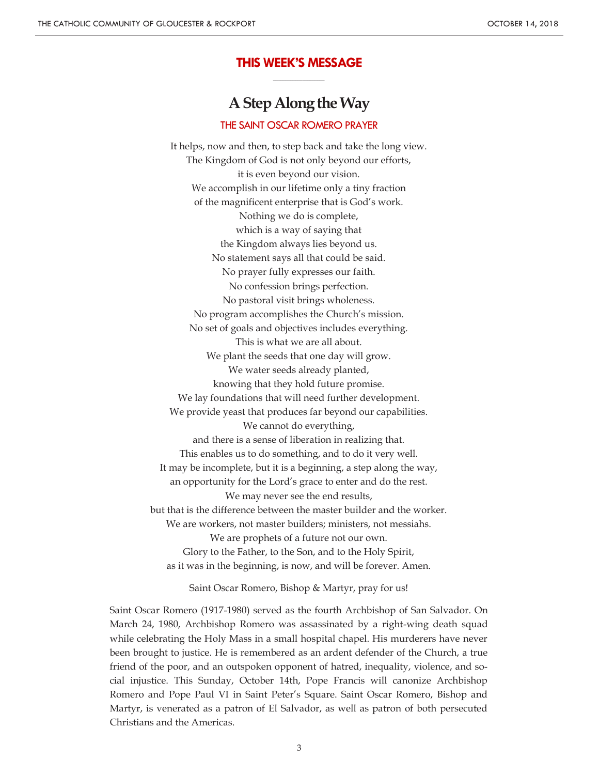## **THIS WEEK'S MESSAGE \_\_\_\_\_\_\_\_\_\_\_\_\_\_\_\_\_\_\_\_\_**

# **A Step Along the Way**

### THE SAINT OSCAR ROMERO PRAYER

It helps, now and then, to step back and take the long view. The Kingdom of God is not only beyond our efforts, it is even beyond our vision. We accomplish in our lifetime only a tiny fraction of the magnificent enterprise that is God's work. Nothing we do is complete, which is a way of saying that the Kingdom always lies beyond us. No statement says all that could be said. No prayer fully expresses our faith. No confession brings perfection. No pastoral visit brings wholeness. No program accomplishes the Church's mission. No set of goals and objectives includes everything. This is what we are all about. We plant the seeds that one day will grow. We water seeds already planted, knowing that they hold future promise. We lay foundations that will need further development. We provide yeast that produces far beyond our capabilities. We cannot do everything, and there is a sense of liberation in realizing that. This enables us to do something, and to do it very well. It may be incomplete, but it is a beginning, a step along the way, an opportunity for the Lord's grace to enter and do the rest. We may never see the end results, but that is the difference between the master builder and the worker. We are workers, not master builders; ministers, not messiahs. We are prophets of a future not our own. Glory to the Father, to the Son, and to the Holy Spirit, as it was in the beginning, is now, and will be forever. Amen.

Saint Oscar Romero, Bishop & Martyr, pray for us!

Saint Oscar Romero (1917-1980) served as the fourth Archbishop of San Salvador. On March 24, 1980, Archbishop Romero was assassinated by a right-wing death squad while celebrating the Holy Mass in a small hospital chapel. His murderers have never been brought to justice. He is remembered as an ardent defender of the Church, a true friend of the poor, and an outspoken opponent of hatred, inequality, violence, and social injustice. This Sunday, October 14th, Pope Francis will canonize Archbishop Romero and Pope Paul VI in Saint Peter's Square. Saint Oscar Romero, Bishop and Martyr, is venerated as a patron of El Salvador, as well as patron of both persecuted Christians and the Americas.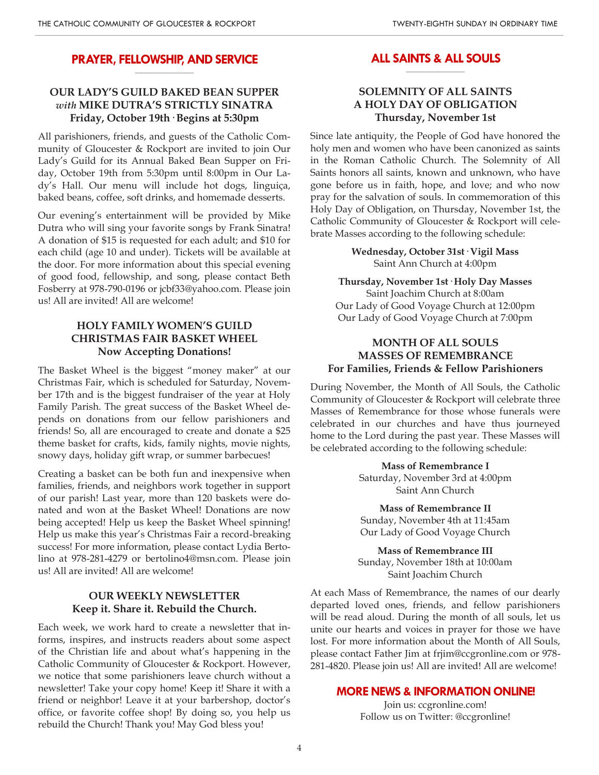#### **PRAYER, FELLOWSHIP, AND SERVICE \_\_\_\_\_\_\_\_\_\_\_\_\_\_\_\_\_\_\_\_**

# **OUR LADY'S GUILD BAKED BEAN SUPPER** *with* **MIKE DUTRA'S STRICTLY SINATRA Friday, October 19th· Begins at 5:30pm**

All parishioners, friends, and guests of the Catholic Community of Gloucester & Rockport are invited to join Our Lady's Guild for its Annual Baked Bean Supper on Friday, October 19th from 5:30pm until 8:00pm in Our Lady's Hall. Our menu will include hot dogs, linguiça, baked beans, coffee, soft drinks, and homemade desserts.

Our evening's entertainment will be provided by Mike Dutra who will sing your favorite songs by Frank Sinatra! A donation of \$15 is requested for each adult; and \$10 for each child (age 10 and under). Tickets will be available at the door. For more information about this special evening of good food, fellowship, and song, please contact Beth Fosberry at 978-790-0196 or jcbf33@yahoo.com. Please join us! All are invited! All are welcome!

# **HOLY FAMILY WOMEN'S GUILD CHRISTMAS FAIR BASKET WHEEL Now Accepting Donations!**

The Basket Wheel is the biggest "money maker" at our Christmas Fair, which is scheduled for Saturday, November 17th and is the biggest fundraiser of the year at Holy Family Parish. The great success of the Basket Wheel depends on donations from our fellow parishioners and friends! So, all are encouraged to create and donate a \$25 theme basket for crafts, kids, family nights, movie nights, snowy days, holiday gift wrap, or summer barbecues!

Creating a basket can be both fun and inexpensive when families, friends, and neighbors work together in support of our parish! Last year, more than 120 baskets were donated and won at the Basket Wheel! Donations are now being accepted! Help us keep the Basket Wheel spinning! Help us make this year's Christmas Fair a record-breaking success! For more information, please contact Lydia Bertolino at 978-281-4279 or bertolino4@msn.com. Please join us! All are invited! All are welcome!

# **OUR WEEKLY NEWSLETTER Keep it. Share it. Rebuild the Church.**

Each week, we work hard to create a newsletter that informs, inspires, and instructs readers about some aspect of the Christian life and about what's happening in the Catholic Community of Gloucester & Rockport. However, we notice that some parishioners leave church without a newsletter! Take your copy home! Keep it! Share it with a friend or neighbor! Leave it at your barbershop, doctor's office, or favorite coffee shop! By doing so, you help us rebuild the Church! Thank you! May God bless you!

#### **ALL SAINTS & ALL SOULS \_\_\_\_\_\_\_\_\_\_\_\_\_\_\_\_\_\_\_\_**

# **SOLEMNITY OF ALL SAINTS A HOLY DAY OF OBLIGATION Thursday, November 1st**

Since late antiquity, the People of God have honored the holy men and women who have been canonized as saints in the Roman Catholic Church. The Solemnity of All Saints honors all saints, known and unknown, who have gone before us in faith, hope, and love; and who now pray for the salvation of souls. In commemoration of this Holy Day of Obligation, on Thursday, November 1st, the Catholic Community of Gloucester & Rockport will celebrate Masses according to the following schedule:

> **Wednesday, October 31st· Vigil Mass** Saint Ann Church at 4:00pm

**Thursday, November 1st· Holy Day Masses** Saint Joachim Church at 8:00am Our Lady of Good Voyage Church at 12:00pm Our Lady of Good Voyage Church at 7:00pm

# **MONTH OF ALL SOULS MASSES OF REMEMBRANCE For Families, Friends & Fellow Parishioners**

During November, the Month of All Souls, the Catholic Community of Gloucester & Rockport will celebrate three Masses of Remembrance for those whose funerals were celebrated in our churches and have thus journeyed home to the Lord during the past year. These Masses will be celebrated according to the following schedule:

> **Mass of Remembrance I** Saturday, November 3rd at 4:00pm Saint Ann Church

> **Mass of Remembrance II** Sunday, November 4th at 11:45am Our Lady of Good Voyage Church

**Mass of Remembrance III** Sunday, November 18th at 10:00am Saint Joachim Church

At each Mass of Remembrance, the names of our dearly departed loved ones, friends, and fellow parishioners will be read aloud. During the month of all souls, let us unite our hearts and voices in prayer for those we have lost. For more information about the Month of All Souls, please contact Father Jim at frjim@ccgronline.com or 978- 281-4820. Please join us! All are invited! All are welcome!

### **MORE NEWS & INFORMATION ONLINE!**

Join us: ccgronline.com! Follow us on Twitter: @ccgronline!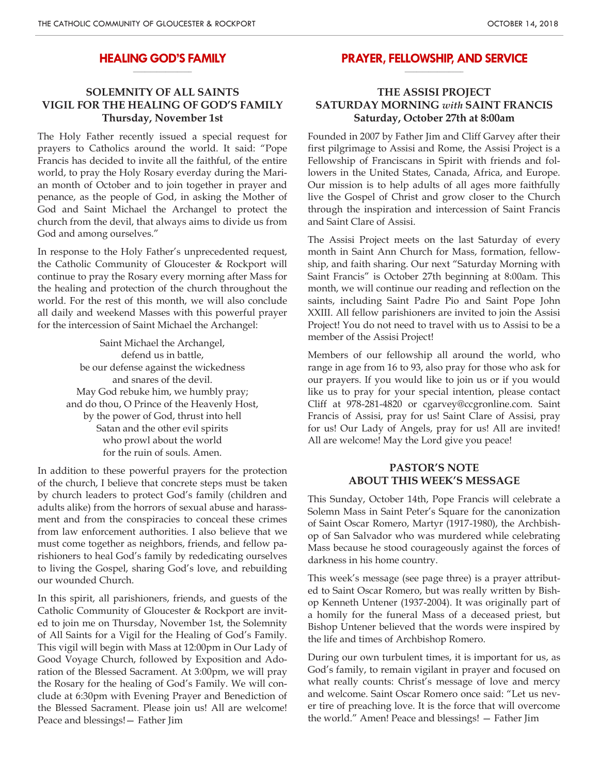#### **HEALING GOD'S FAMILY \_\_\_\_\_\_\_\_\_\_\_\_\_\_\_\_\_\_\_\_**

# **SOLEMNITY OF ALL SAINTS VIGIL FOR THE HEALING OF GOD'S FAMILY Thursday, November 1st**

The Holy Father recently issued a special request for prayers to Catholics around the world. It said: "Pope Francis has decided to invite all the faithful, of the entire world, to pray the Holy Rosary everday during the Marian month of October and to join together in prayer and penance, as the people of God, in asking the Mother of God and Saint Michael the Archangel to protect the church from the devil, that always aims to divide us from God and among ourselves."

In response to the Holy Father's unprecedented request, the Catholic Community of Gloucester & Rockport will continue to pray the Rosary every morning after Mass for the healing and protection of the church throughout the world. For the rest of this month, we will also conclude all daily and weekend Masses with this powerful prayer for the intercession of Saint Michael the Archangel:

> Saint Michael the Archangel, defend us in battle, be our defense against the wickedness and snares of the devil. May God rebuke him, we humbly pray; and do thou, O Prince of the Heavenly Host, by the power of God, thrust into hell Satan and the other evil spirits who prowl about the world for the ruin of souls. Amen.

In addition to these powerful prayers for the protection of the church, I believe that concrete steps must be taken by church leaders to protect God's family (children and adults alike) from the horrors of sexual abuse and harassment and from the conspiracies to conceal these crimes from law enforcement authorities. I also believe that we must come together as neighbors, friends, and fellow parishioners to heal God's family by rededicating ourselves to living the Gospel, sharing God's love, and rebuilding our wounded Church.

In this spirit, all parishioners, friends, and guests of the Catholic Community of Gloucester & Rockport are invited to join me on Thursday, November 1st, the Solemnity of All Saints for a Vigil for the Healing of God's Family. This vigil will begin with Mass at 12:00pm in Our Lady of Good Voyage Church, followed by Exposition and Adoration of the Blessed Sacrament. At 3:00pm, we will pray the Rosary for the healing of God's Family. We will conclude at 6:30pm with Evening Prayer and Benediction of the Blessed Sacrament. Please join us! All are welcome! Peace and blessings!— Father Jim

#### **PRAYER, FELLOWSHIP, AND SERVICE \_\_\_\_\_\_\_\_\_\_\_\_\_\_\_\_\_\_\_\_**

# **THE ASSISI PROJECT SATURDAY MORNING** *with* **SAINT FRANCIS Saturday, October 27th at 8:00am**

Founded in 2007 by Father Jim and Cliff Garvey after their first pilgrimage to Assisi and Rome, the Assisi Project is a Fellowship of Franciscans in Spirit with friends and followers in the United States, Canada, Africa, and Europe. Our mission is to help adults of all ages more faithfully live the Gospel of Christ and grow closer to the Church through the inspiration and intercession of Saint Francis and Saint Clare of Assisi.

The Assisi Project meets on the last Saturday of every month in Saint Ann Church for Mass, formation, fellowship, and faith sharing. Our next "Saturday Morning with Saint Francis" is October 27th beginning at 8:00am. This month, we will continue our reading and reflection on the saints, including Saint Padre Pio and Saint Pope John XXIII. All fellow parishioners are invited to join the Assisi Project! You do not need to travel with us to Assisi to be a member of the Assisi Project!

Members of our fellowship all around the world, who range in age from 16 to 93, also pray for those who ask for our prayers. If you would like to join us or if you would like us to pray for your special intention, please contact Cliff at 978-281-4820 or cgarvey@ccgronline.com. Saint Francis of Assisi, pray for us! Saint Clare of Assisi, pray for us! Our Lady of Angels, pray for us! All are invited! All are welcome! May the Lord give you peace!

## **PASTOR'S NOTE ABOUT THIS WEEK'S MESSAGE**

This Sunday, October 14th, Pope Francis will celebrate a Solemn Mass in Saint Peter's Square for the canonization of Saint Oscar Romero, Martyr (1917-1980), the Archbishop of San Salvador who was murdered while celebrating Mass because he stood courageously against the forces of darkness in his home country.

This week's message (see page three) is a prayer attributed to Saint Oscar Romero, but was really written by Bishop Kenneth Untener (1937-2004). It was originally part of a homily for the funeral Mass of a deceased priest, but Bishop Untener believed that the words were inspired by the life and times of Archbishop Romero.

During our own turbulent times, it is important for us, as God's family, to remain vigilant in prayer and focused on what really counts: Christ's message of love and mercy and welcome. Saint Oscar Romero once said: "Let us never tire of preaching love. It is the force that will overcome the world." Amen! Peace and blessings! — Father Jim